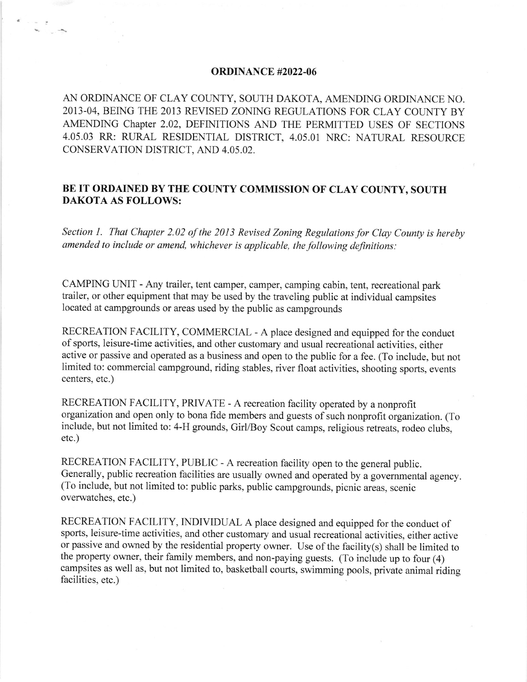## ORDINANCE #2022-06

a

AN ORDINANCE OF CLAY COUNTY, SOUI'H DAKOTA, AMENDING ORDINANCE NO. 2013-04, BEING THE 2013 REVISED ZONING REGULATIONS FOR CLAY COUNTY BY AMENDING Chapter 2.02, DEFINITIONS AND THE PERMITTED USES OF SECTIONS 4.05.03 RR: RURAL RESIDENTIAL DISTRICT, 4.05.01 NRC: NATURAL RESOURCE CONSERVATION DISTRICT, AND 4.05,02.

## BE IT ORDAINED BY THE COUNTY COMMISSION OF CLAY COUNTY, SOUTH DAKOTA AS FOLLOWS:

Section l. That Chapter 2.02 of the 2013 Revised Zoning Regulations for Clay County is hereby amended to include or amend, whichever is applicable, the following definitions:

CAMPING UNIT - Any trailer, tent camper, camper, camping cabin, tent, recreational park trailer, or other equipment that may be used by the traveling public at individual campsites located at campgrounds or areas used by the public as campgrounds

RECREATION FACILITY, COMMERCIAL - A place designed and equipped for the conduct of sports, leisure-time activities, and other customary and usual recreational activities, either active or passive and operated as a business and open to the public for a fee. (To include, but not limited to: commercial campground, riding stables, river float activities, shooting sports, events centers, etc.)

RECREATION FACILITY, PRIVATE - A recreation facility operated by a nonprofit organization and open only to bona fide members and guests of such nonprofit organization. (To include, but not limited to: 4-H grounds, Girl/Boy Scout camps, religious retreats, rodeo clubs, etc.)

RECREATION FACILITY, PUBLIC - A recreation facility open to the general public. Generally, public recreation facilities are usually owned and operated by a governmental agency. (To include, but not limited to: public parks, public campgrounds, picnic areas, scenic overwatches, etc.)

RECREATION FACILITY, INDIVIDUAL A place designed and equipped for the conduct of sports, leisure-time activities, and other customary and usual recreational activities, either active or passive and owned by the residential property owner. Use of the facility(s) shall be limited to the property owner, their family members, and non-paying guests. (To include up to four (4) campsites as well as, but not limited to, basketball courts, swimming pools, private animal riding facilities, etc.)